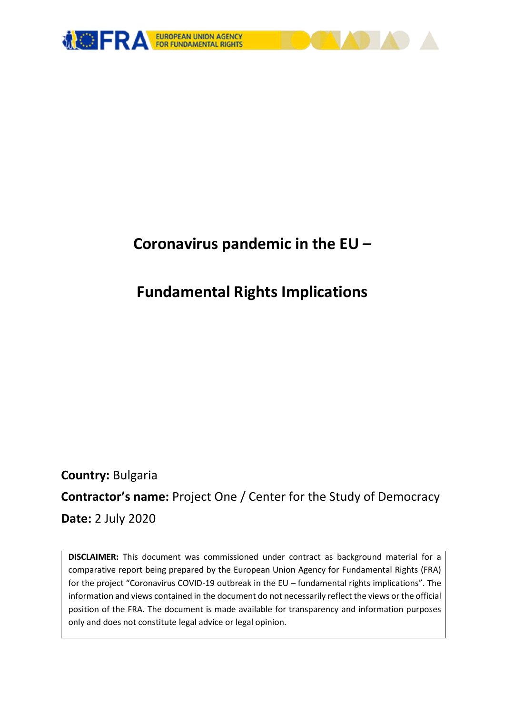

# **Coronavirus pandemic in the EU –**

# **Fundamental Rights Implications**

**Country:** Bulgaria **Contractor's name:** Project One / Center for the Study of Democracy **Date:** 2 July 2020

**DISCLAIMER:** This document was commissioned under contract as background material for a comparative report being prepared by the European Union Agency for Fundamental Rights (FRA) for the project "Coronavirus COVID-19 outbreak in the EU – fundamental rights implications". The information and views contained in the document do not necessarily reflect the views or the official position of the FRA. The document is made available for transparency and information purposes only and does not constitute legal advice or legal opinion.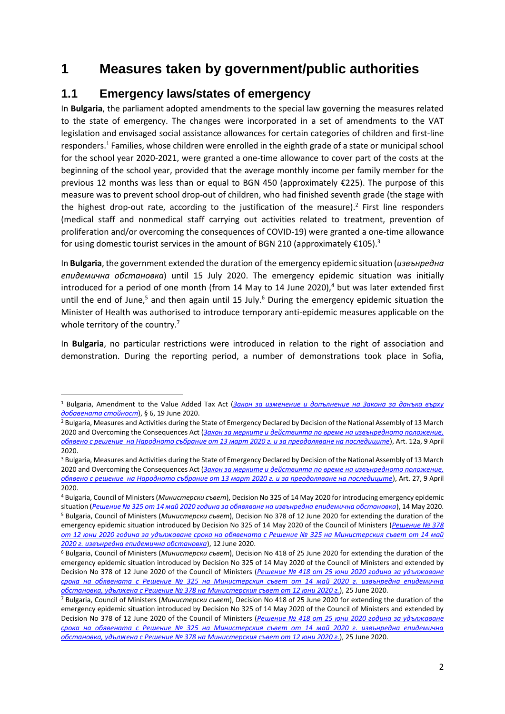# **1 Measures taken by government/public authorities**

## **1.1 Emergency laws/states of emergency**

**.** 

In **Bulgaria**, the parliament adopted amendments to the special law governing the measures related to the state of emergency. The changes were incorporated in a set of amendments to the VAT legislation and envisaged social assistance allowances for certain categories of children and first-line responders.<sup>1</sup> Families, whose children were enrolled in the eighth grade of a state or municipal school for the school year 2020-2021, were granted a one-time allowance to cover part of the costs at the beginning of the school year, provided that the average monthly income per family member for the previous 12 months was less than or equal to BGN 450 (approximately €225). The purpose of this measure was to prevent school drop-out of children, who had finished seventh grade (the stage with the highest drop-out rate, according to the justification of the measure).<sup>2</sup> First line responders (medical staff and nonmedical staff carrying out activities related to treatment, prevention of proliferation and/or overcoming the consequences of COVID-19) were granted a one-time allowance for using domestic tourist services in the amount of BGN 210 (approximately  $\epsilon$ 105).<sup>3</sup>

In **Bulgaria**, the government extended the duration of the emergency epidemic situation (*извънредна епидемична обстановка*) until 15 July 2020. The emergency epidemic situation was initially introduced for a period of one month (from 14 May to 14 June 2020), $4$  but was later extended first until the end of June,<sup>5</sup> and then again until 15 July.<sup>6</sup> During the emergency epidemic situation the Minister of Health was authorised to introduce temporary anti-epidemic measures applicable on the whole territory of the country.<sup>7</sup>

In **Bulgaria**, no particular restrictions were introduced in relation to the right of association and demonstration. During the reporting period, a number of demonstrations took place in Sofia,

<sup>1</sup> Bulgaria, Amendment to the Value Added Tax Act (*[Закон за изменение и допълнение на Закона за данъка върху](https://dv.parliament.bg/DVWeb/showMaterialDV.jsp?idMat=149040)  [добавената стойност](https://dv.parliament.bg/DVWeb/showMaterialDV.jsp?idMat=149040)*), § 6, 19 June 2020.

<sup>&</sup>lt;sup>2</sup> Bulgaria, Measures and Activities during the State of Emergency Declared by Decision of the National Assembly of 13 March 2020 and Overcoming the Consequences Act (*[Закон за мерките и действията по време на извънредното положение,](https://www.lex.bg/bg/laws/ldoc/2137201253)  [обявено c решение на Народното събрание от 13 март 2020 г. и за преодоляване на последиците](https://www.lex.bg/bg/laws/ldoc/2137201253)*), Art. 12a, 9 April 2020.

<sup>&</sup>lt;sup>3</sup> Bulgaria, Measures and Activities during the State of Emergency Declared by Decision of the National Assembly of 13 March 2020 and Overcoming the Consequences Act (*[Закон за мерките и действията по време на извънредното положение,](https://www.lex.bg/bg/laws/ldoc/2137201253)  [обявено c решение на Народното събрание от 13 март 2020 г. и за преодоляване на последиците](https://www.lex.bg/bg/laws/ldoc/2137201253)*), Art. 27, 9 April 2020.

<sup>4</sup> Bulgaria, Council of Ministers (*Министерски съвет*), Decision No 325 of 14 May 2020 for introducing emergency epidemic situation (*[Решение № 325 от 14 май 2020 година за обявяване на извънредна епидемична обстановка](https://coronavirus.bg/bg/389)*), 14 May 2020. <sup>5</sup> Bulgaria, Council of Ministers (*Министерски съвет*), Decision No 378 of 12 June 2020 for extending the duration of the emergency epidemic situation introduced by Decision No 325 of 14 May 2020 of the Council of Ministers (*[Решение № 378](https://coronavirus.bg/bg/433)  [от 12 юни 2020 година за удължаване срока на обявената с Решение №](https://coronavirus.bg/bg/433) 325 на Министерския съвет от 14 май [2020 г. извънредна епидемична обстановка](https://coronavirus.bg/bg/433)*), 12 June 2020.

<sup>6</sup> Bulgaria, Council of Ministers (*Министерски съвет*), Decision No 418 of 25 June 2020 for extending the duration of the emergency epidemic situation introduced by Decision No 325 of 14 May 2020 of the Council of Ministers and extended by Decision No 378 of 12 June 2020 of the Council of Ministers (*Решение № 418 [от 25 юни 2020 година за удължаване](https://coronavirus.bg/bg/448)  [срока на обявената с Решение № 325 на Министерския съвет от 14 май 2020 г. извънредна епидемична](https://coronavirus.bg/bg/448)  [обстановка, удължена с Решение № 378 на Министерския съвет от 12 юни 2020 г.](https://coronavirus.bg/bg/448)*), 25 June 2020.

<sup>7</sup> Bulgaria, Council of Ministers (*Министерски съвет*), Decision No 418 of 25 June 2020 for extending the duration of the emergency epidemic situation introduced by Decision No 325 of 14 May 2020 of the Council of Ministers and extended by Decision No 378 of 12 June 2020 of the Council of Ministers (*Решение № 418 [от 25 юни 2020 година за удължаване](https://coronavirus.bg/bg/448)  [срока на обявената с Решение № 325 на Министерския съвет от 14 май 2020 г. извънредна епидемична](https://coronavirus.bg/bg/448)  [обстановка, удължена с Решение № 378 на Министерския съвет от 12 юни 2020 г.](https://coronavirus.bg/bg/448)*), 25 June 2020.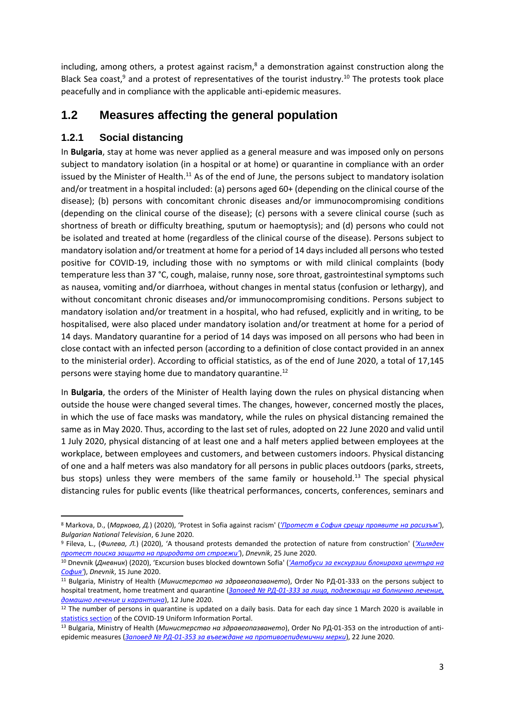including, among others, a protest against racism, $8$  a demonstration against construction along the Black Sea coast, $9$  and a protest of representatives of the tourist industry.<sup>10</sup> The protests took place peacefully and in compliance with the applicable anti-epidemic measures.

## **1.2 Measures affecting the general population**

### **1.2.1 Social distancing**

**.** 

In **Bulgaria**, stay at home was never applied as a general measure and was imposed only on persons subject to mandatory isolation (in a hospital or at home) or quarantine in compliance with an order issued by the Minister of Health.<sup>11</sup> As of the end of June, the persons subject to mandatory isolation and/or treatment in a hospital included: (a) persons aged 60+ (depending on the clinical course of the disease); (b) persons with concomitant chronic diseases and/or immunocompromising conditions (depending on the clinical course of the disease); (c) persons with a severe clinical course (such as shortness of breath or difficulty breathing, sputum or haemoptysis); and (d) persons who could not be isolated and treated at home (regardless of the clinical course of the disease). Persons subject to mandatory isolation and/or treatment at home for a period of 14 days included all persons who tested positive for COVID-19, including those with no symptoms or with mild clinical complaints (body temperature less than 37 °С, cough, malaise, runny nose, sore throat, gastrointestinal symptoms such as nausea, vomiting and/or diarrhoea, without changes in mental status (confusion or lethargy), and without concomitant chronic diseases and/or immunocompromising conditions. Persons subject to mandatory isolation and/or treatment in a hospital, who had refused, explicitly and in writing, to be hospitalised, were also placed under mandatory isolation and/or treatment at home for a period of 14 days. Mandatory quarantine for a period of 14 days was imposed on all persons who had been in close contact with an infected person (according to a definition of close contact provided in an annex to the ministerial order). According to official statistics, as of the end of June 2020, a total of 17,145 persons were staying home due to mandatory quarantine.<sup>12</sup>

In **Bulgaria**, the orders of the Minister of Health laying down the rules on physical distancing when outside the house were changed several times. The changes, however, concerned mostly the places, in which the use of face masks was mandatory, while the rules on physical distancing remained the same as in May 2020. Thus, according to the last set of rules, adopted on 22 June 2020 and valid until 1 July 2020, physical distancing of at least one and a half meters applied between employees at the workplace, between employees and customers, and between customers indoors. Physical distancing of one and a half meters was also mandatory for all persons in public places outdoors (parks, streets, bus stops) unless they were members of the same family or household.<sup>13</sup> The special physical distancing rules for public events (like theatrical performances, concerts, conferences, seminars and

<sup>8</sup> Markova, D., (*Маркова, Д.*) (2020), 'Protest in Sofia against racism' (*['Протест в София срещу проявите на расизъм'](https://bntnews.bg/news/protest-v-sofiya-sreshtu-proyavite-na-rasizam-1058591news.html)*), *Bulgarian National Television*, 6 June 2020.

<sup>9</sup> Fileva, L., (*Филева, Л.*) (2020), 'A thousand protests demanded the protection of nature from construction' (*['Хиляден](https://www.dnevnik.bg/bulgaria/2020/06/25/4083644_hiliaden_protest_poiska_zashtita_na_prirodata_ot/)  [протест поиска защита на природата от строежи'](https://www.dnevnik.bg/bulgaria/2020/06/25/4083644_hiliaden_protest_poiska_zashtita_na_prirodata_ot/)*), *Dnevnik*, 25 June 2020.

<sup>10</sup> Dnevnik (*Дневник*) (2020), 'Excursion buses blocked downtown Sofia' (*'Автобуси за екскурзии [блокираха центъра на](https://www.dnevnik.bg/photos/2020/06/15/4079037_snimka_na_denia_avtobusi_za_ekskurzii_blokiraha/)  [София'](https://www.dnevnik.bg/photos/2020/06/15/4079037_snimka_na_denia_avtobusi_za_ekskurzii_blokiraha/)*), *Dnevnik*, 15 June 2020.

<sup>11</sup> Bulgaria, Ministry of Health (*Министерство на здравеопазването*), Order No РД-01-333 on the persons subject to hospital treatment, home treatment and quarantine (*Заповед № РД-01-333 [за лица, подлежащи на болнично лечение,](https://coronavirus.bg/bg/429)  [домашно лечение и карантина](https://coronavirus.bg/bg/429)*), 12 June 2020.

 $12$  The number of persons in quarantine is updated on a daily basis. Data for each day since 1 March 2020 is available in [statistics section](https://coronavirus.bg/arcgis/apps/opsdashboard/index.html#/ecacd239ee7e4fba956f7948f586af93) of the COVID-19 Uniform Information Portal.

<sup>13</sup> Bulgaria, Ministry of Health (*Министерство на здравеопазването*), Order No РД-01-353 on the introduction of antiepidemic measures (*Заповед № РД-01-[353 за въвеждане на противоепидемични мерки](https://coronavirus.bg/bg/443)*), 22 June 2020.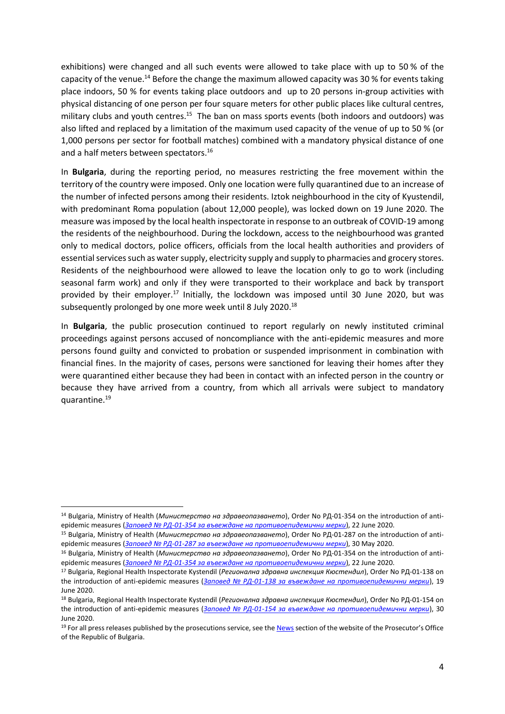exhibitions) were changed and all such events were allowed to take place with up to 50 % of the capacity of the venue.<sup>14</sup> Before the change the maximum allowed capacity was 30 % for events taking place indoors, 50 % for events taking place outdoors and up to 20 persons in-group activities with physical distancing of one person per four square meters for other public places like cultural centres, military clubs and youth centres.<sup>15</sup> The ban on mass sports events (both indoors and outdoors) was also lifted and replaced by a limitation of the maximum used capacity of the venue of up to 50 % (or 1,000 persons per sector for football matches) combined with a mandatory physical distance of one and a half meters between spectators. 16

In **Bulgaria**, during the reporting period, no measures restricting the free movement within the territory of the country were imposed. Only one location were fully quarantined due to an increase of the number of infected persons among their residents. Iztok neighbourhood in the city of Kyustendil, with predominant Roma population (about 12,000 people), was locked down on 19 June 2020. The measure was imposed by the local health inspectorate in response to an outbreak of COVID-19 among the residents of the neighbourhood. During the lockdown, access to the neighbourhood was granted only to medical doctors, police officers, officials from the local health authorities and providers of essential services such as water supply, electricity supply and supply to pharmacies and grocery stores. Residents of the neighbourhood were allowed to leave the location only to go to work (including seasonal farm work) and only if they were transported to their workplace and back by transport provided by their employer.<sup>17</sup> Initially, the lockdown was imposed until 30 June 2020, but was subsequently prolonged by one more week until 8 July 2020.<sup>18</sup>

In **Bulgaria**, the public prosecution continued to report regularly on newly instituted criminal proceedings against persons accused of noncompliance with the anti-epidemic measures and more persons found guilty and convicted to probation or suspended imprisonment in combination with financial fines. In the majority of cases, persons were sanctioned for leaving their homes after they were quarantined either because they had been in contact with an infected person in the country or because they have arrived from a country, from which all arrivals were subject to mandatory quarantine.<sup>19</sup>

<sup>1</sup> <sup>14</sup> Bulgaria, Ministry of Health (*Министерство на здравеопазването*), Order No РД-01-354 on the introduction of antiepidemic measures (*Заповед № РД-01-[354 за въвеждане на противоепидемични мерки](https://coronavirus.bg/bg/444)*), 22 June 2020.

<sup>15</sup> Bulgaria, Ministry of Health (*Министерство на здравеопазването*), Order No РД-01-287 on the introduction of antiepidemic measures (*Заповед № РД-01-[287 за въвеждане на противоепидемични мерки](https://coronavirus.bg/bg/395)*), 30 May 2020.

<sup>16</sup> Bulgaria, Ministry of Health (*Министерство на здравеопазването*), Order No РД-01-354 on the introduction of antiepidemic measures (*Заповед № РД-01-[354 за въвеждане на противоепидемични мерки](https://coronavirus.bg/bg/444)*), 22 June 2020.

<sup>17</sup> Bulgaria, Regional Health Inspectorate Kystendil (*Регионална здравна инспекция Кюстендил*), Order No РД-01-138 on the introduction of anti-epidemic measures (*Заповед № РД-01-[138 за въвеждане на противоепидемични мерки](https://rzi-kn.net/bg/2020/06/19/заповед-рд-01-138-19-06-2020г/)*), 19 June 2020.

<sup>18</sup> Bulgaria, Regional Health Inspectorate Kystendil (*Регионална здравна инспекция Кюстендил*), Order No РД-01-154 on the introduction of anti-epidemic measures (*Заповед № РД-01-[154 за въвеждане на противоепидемични мерки](https://rzi-kn.net/bg/2020/06/30/заповед-рд-01-154-30-06-2020г/)*), 30 June 2020.

<sup>&</sup>lt;sup>19</sup> For all press releases published by the prosecutions service, see th[e News](https://www.prb.bg/bg/news) section of the website of the Prosecutor's Office of the Republic of Bulgaria.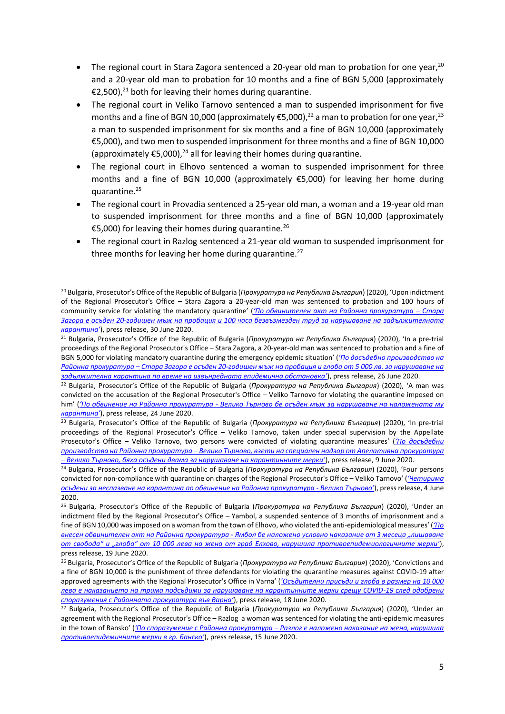- The regional court in Stara Zagora sentenced a 20-year old man to probation for one year,  $20$ and a 20-year old man to probation for 10 months and a fine of BGN 5,000 (approximately €2,500),<sup>21</sup> both for leaving their homes during quarantine.
- The regional court in Veliko Tarnovo sentenced a man to suspended imprisonment for five months and a fine of BGN 10,000 (approximately €5,000),<sup>22</sup> a man to probation for one year,<sup>23</sup> a man to suspended imprisonment for six months and a fine of BGN 10,000 (approximately €5,000), and two men to suspended imprisonment for three months and a fine of BGN 10,000 (approximately  $\epsilon$ 5,000),<sup>24</sup> all for leaving their homes during quarantine.
- The regional court in Elhovo sentenced a woman to suspended imprisonment for three months and a fine of BGN 10,000 (approximately €5,000) for leaving her home during quarantine.<sup>25</sup>
- The regional court in Provadia sentenced a 25-year old man, a woman and a 19-year old man to suspended imprisonment for three months and a fine of BGN 10,000 (approximately €5,000) for leaving their homes during quarantine.<sup>26</sup>
- The regional court in Razlog sentenced a 21-year old woman to suspended imprisonment for three months for leaving her home during quarantine.<sup>27</sup>

**.** 

<sup>20</sup> Bulgaria, Prosecutor's Office of the Republic of Bulgaria (*Прокуратура на Република България*) (2020), 'Upon indictment of the Regional Prosecutor's Office – Stara Zagora a 20-year-old man was sentenced to probation and 100 hours of community service for violating the mandatory quarantine' (*['По обвинителен акт на Районна прокуратура –](https://www.prb.bg/bg/news/44104-Po-obvinitelen-akt-na-Rayonna-prokuratura-–-Stara-Zagora-e-osaden-20-godishen-ma) Стара Загора е осъден 20-[годишен мъж на пробация и 100 часа безвъзмезден труд за нарушаване на задължителната](https://www.prb.bg/bg/news/44104-Po-obvinitelen-akt-na-Rayonna-prokuratura-–-Stara-Zagora-e-osaden-20-godishen-ma)  [карантина'](https://www.prb.bg/bg/news/44104-Po-obvinitelen-akt-na-Rayonna-prokuratura-–-Stara-Zagora-e-osaden-20-godishen-ma)*), press release, 30 June 2020.

<sup>21</sup> Bulgaria, Prosecutor's Office of the Republic of Bulgaria (*Прокуратура на Република България*) (2020), 'In a pre-trial proceedings of the Regional Prosecutor's Office – Stara Zagora, a 20-year-old man was sentenced to probation and a fine of BGN 5,000 for violating mandatory quarantine during the emergency epidemic situation' (*['По досъдебно производство на](https://www.prb.bg/bg/news/44058-po-dosydebno-proizvodstvo-na-rajonna-prokuratu-208)  Районна прокуратура – Стара Загора е осъден 20-[годишен мъж на пробация и глоба от 5 000 лв. за нарушаване на](https://www.prb.bg/bg/news/44058-po-dosydebno-proizvodstvo-na-rajonna-prokuratu-208)  [задължителна карантина по време на извънредната епидемична обстановка'](https://www.prb.bg/bg/news/44058-po-dosydebno-proizvodstvo-na-rajonna-prokuratu-208)*), press release, 26 June 2020.

<sup>22</sup> Bulgaria, Prosecutor's Office of the Republic of Bulgaria (*Прокуратура на Република България*) (2020), 'A man was convicted on the accusation of the Regional Prosecutor's Office – Veliko Tarnovo for violating the quarantine imposed on him' (*'По обвинение на Районна прокуратура - [Велико Търново бе осъден мъж за нарушаване на наложената му](https://www.prb.bg/bg/news/43961-po-obvinenie-na-rajonna-prokuratura-veliko-tyr-106-3)  [карантина'](https://www.prb.bg/bg/news/43961-po-obvinenie-na-rajonna-prokuratura-veliko-tyr-106-3)*), press release, 24 June 2020.

<sup>23</sup> Bulgaria, Prosecutor's Office of the Republic of Bulgaria (*Прокуратура на Република България*) (2020), 'In pre-trial proceedings of the Regional Prosecutor's Office – Veliko Tarnovo, taken under special supervision by the Appellate Prosecutor's Office – Veliko Tarnovo, two persons were convicted of violating quarantine measures' (*['По досъдебни](https://www.prb.bg/bg/news/43422-po-dosydebni-proizvodstva-na-rajonna-prokuratu-187-2)  производства на Районна прокуратура – [Велико Търново, взети на специален надзор от Апелативна прокуратура](https://www.prb.bg/bg/news/43422-po-dosydebni-proizvodstva-na-rajonna-prokuratu-187-2)  – [Велико Търново, бяха осъдени двама за нарушаване на карантинните мерки'](https://www.prb.bg/bg/news/43422-po-dosydebni-proizvodstva-na-rajonna-prokuratu-187-2)*), press release, 9 June 2020.

<sup>24</sup> Bulgaria, Prosecutor's Office of the Republic of Bulgaria (*Прокуратура на Република България*) (2020), 'Four persons convicted for non-compliance with quarantine on charges of the Regional Prosecutor's Office – Veliko Tarnovo' (*['Четирима](https://www.prb.bg/bg/news/43233-chetirima-osydeni-za-nespazvane-na-karantina-p-95-2)  осъдени за неспазване на карантина [по обвинение на Районна прокуратура](https://www.prb.bg/bg/news/43233-chetirima-osydeni-za-nespazvane-na-karantina-p-95-2) - Велико Търново'*), press release, 4 June 2020.

<sup>25</sup> Bulgaria, Prosecutor's Office of the Republic of Bulgaria (*Прокуратура на Република България*) (2020), 'Under an indictment filed by the Regional Prosecutor's Office – Yambol, a suspended sentence of 3 months of imprisonment and a fine of BGN 10,000 was imposed on a woman from the town of Elhovo, who violated the anti-epidemiological measures' (*['По](https://www.prb.bg/bg/news/43784-po-vnesen-obvinitelen-akt-na-rajonna-prokuratu-206-2)  внесен обвинителен акт на Районна прокуратура - [Ямбол бе наложено условно наказание от 3 месеца "лишаване](https://www.prb.bg/bg/news/43784-po-vnesen-obvinitelen-akt-na-rajonna-prokuratu-206-2)  [от свобода" и "глоба" от 10 000 лева на жена от град Елхово, нарушила противоепидемиологичните мерки'](https://www.prb.bg/bg/news/43784-po-vnesen-obvinitelen-akt-na-rajonna-prokuratu-206-2)*), press release, 19 June 2020.

<sup>26</sup> Bulgaria, Prosecutor's Office of the Republic of Bulgaria (*Прокуратура на Република България*) (2020), 'Convictions and a fine of BGN 10,000 is the punishment of three defendants for violating the quarantine measures against COVID-19 after approved agreements with the Regional Prosecutor's Office in Varna' (*['Осъдителни присъди и глоба в размер на 10 000](https://www.prb.bg/bg/news/43742-osyditelni-prisydi-i-globa-v-razmer-na-10-000--199-2)  [лева е наказанието на трима подсъдими за нарушаване на карантинните мерки срещу COVID](https://www.prb.bg/bg/news/43742-osyditelni-prisydi-i-globa-v-razmer-na-10-000--199-2)-19 след одобрени [споразумения с Районната прокуратура във Варна'](https://www.prb.bg/bg/news/43742-osyditelni-prisydi-i-globa-v-razmer-na-10-000--199-2)*), press release, 18 June 2020.

<sup>27</sup> Bulgaria, Prosecutor's Office of the Republic of Bulgaria (*Прокуратура на Република България*) (2020), 'Under an agreement with the Regional Prosecutor's Office – Razlog a woman was sentenced for violating the anti-epidemic measures in the town of Bansko' (*'По споразумение с Районна прокуратура – [Разлог е наложено наказание на жена, нарушила](https://www.prb.bg/bg/news/43646-po-sporazumenie-s-rajonna-prokuratura-razlog-e-122-2)  [противоепидемичните мерки в гр. Банско'](https://www.prb.bg/bg/news/43646-po-sporazumenie-s-rajonna-prokuratura-razlog-e-122-2)*), press release, 15 June 2020.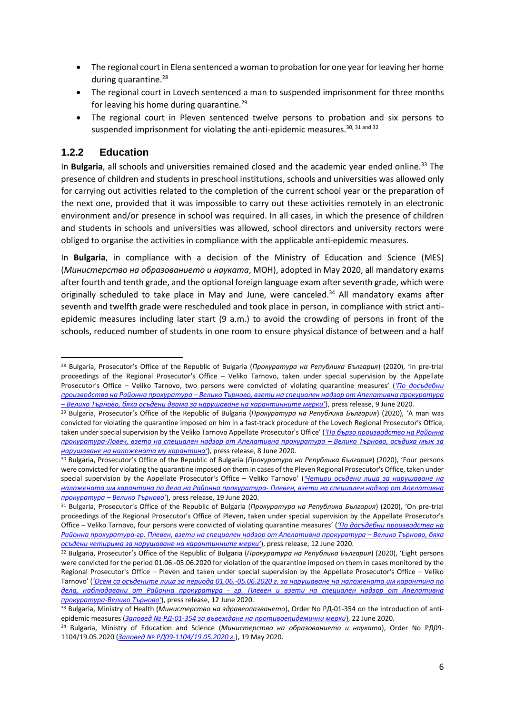- The regional court in Elena sentenced a woman to probation for one year for leaving her home during quarantine.<sup>28</sup>
- The regional court in Lovech sentenced a man to suspended imprisonment for three months for leaving his home during quarantine.<sup>29</sup>
- The regional court in Pleven sentenced twelve persons to probation and six persons to suspended imprisonment for violating the anti-epidemic measures.<sup>30, 31 and 32</sup>

#### **1.2.2 Education**

1

In **Bulgaria**, all schools and universities remained closed and the academic year ended online.<sup>33</sup> The presence of children and students in preschool institutions, schools and universities was allowed only for carrying out activities related to the completion of the current school year or the preparation of the next one, provided that it was impossible to carry out these activities remotely in an electronic environment and/or presence in school was required. In all cases, in which the presence of children and students in schools and universities was allowed, school directors and university rectors were obliged to organise the activities in compliance with the applicable anti-epidemic measures.

In **Bulgaria**, in compliance with a decision of the Ministry of Education and Science (MES) (*Министерство на образованието и науката*, МОН), adopted in May 2020, all mandatory exams after fourth and tenth grade, and the optional foreign language exam after seventh grade, which were originally scheduled to take place in May and June, were canceled.<sup>34</sup> All mandatory exams after seventh and twelfth grade were rescheduled and took place in person, in compliance with strict antiepidemic measures including later start (9 a.m.) to avoid the crowding of persons in front of the schools, reduced number of students in one room to ensure physical distance of between and a half

<sup>28</sup> Bulgaria, Prosecutor's Office of the Republic of Bulgaria (*Прокуратура на Република България*) (2020), 'In pre-trial proceedings of the Regional Prosecutor's Office – Veliko Tarnovo, taken under special supervision by the Appellate Prosecutor's Office – Veliko Tarnovo, two persons were convicted of violating quarantine measures' (*['По досъдебни](https://www.prb.bg/bg/news/43422-po-dosydebni-proizvodstva-na-rajonna-prokuratu-187-2)  производства на Районна прокуратура – Велико Търново, [взети на специален надзор от Апелативна прокуратура](https://www.prb.bg/bg/news/43422-po-dosydebni-proizvodstva-na-rajonna-prokuratu-187-2)  – [Велико Търново, бяха осъдени двама за нарушаване на карантинните мерки'](https://www.prb.bg/bg/news/43422-po-dosydebni-proizvodstva-na-rajonna-prokuratu-187-2)*), press release, 9 June 2020.

<sup>29</sup> Bulgaria, Prosecutor's Office of the Republic of Bulgaria (*Прокуратура на Република България*) (2020), 'A man was convicted for violating the quarantine imposed on him in a fast-track procedure of the Lovech Regional Prosecutor's Office, taken under special supervision by the Veliko Tarnovo Appellate Prosecutor's Office' (*['По бързо производство на Районна](https://www.prb.bg/bg/news/43391-po-byrzo-proizvodstvo-na-rajonna-prokuratura-l-172-2)  прокуратура-[Ловеч, взето на специален надзор от Апелативна прокуратура –](https://www.prb.bg/bg/news/43391-po-byrzo-proizvodstvo-na-rajonna-prokuratura-l-172-2) Велико Търново, осъдиха мъж за [нарушаване на наложената му карантина'](https://www.prb.bg/bg/news/43391-po-byrzo-proizvodstvo-na-rajonna-prokuratura-l-172-2)*), press release, 8 June 2020.

<sup>30</sup> Bulgaria, Prosecutor's Office of the Republic of Bulgaria (*Прокуратура на Република България*) (2020), 'Four persons were convicted for violating the quarantine imposed on them in cases of the Pleven Regional Prosecutor's Office, taken under special supervision by the Appellate Prosecutor's Office – Veliko Tarnovo' (*['Четири осъдени лица за нарушаване на](https://www.prb.bg/bg/news/43795-chetiri-osydeni-lica-za-narushavane-na-nalojen-167-2)  [наложената им карантина по дела на Районна прокуратура](https://www.prb.bg/bg/news/43795-chetiri-osydeni-lica-za-narushavane-na-nalojen-167-2)- Плевен, взети на специален надзор от Апелативна прокуратура – [Велико Търново'](https://www.prb.bg/bg/news/43795-chetiri-osydeni-lica-za-narushavane-na-nalojen-167-2)*), press release, 19 June 2020.

<sup>31</sup> Bulgaria, Prosecutor's Office of the Republic of Bulgaria (*Прокуратура на Република България*) (2020), 'On pre-trial proceedings of the Regional Prosecutor's Office of Pleven, taken under special supervision by the Appellate Prosecutor's Office – Veliko Tarnovo, four persons were convicted of violating quarantine measures' (*['По досъдебни производства на](https://www.prb.bg/bg/news/43579-po-dosydebni-proizvodstva-na-rajonna-prokuratu-186-2)  Районна прокуратура-[гр. Плевен, взети на специален надзор от Апелативна прокуратура –](https://www.prb.bg/bg/news/43579-po-dosydebni-proizvodstva-na-rajonna-prokuratu-186-2) Велико Търново, бяха [осъдени четирима за нарушаване на карантинните мерки'](https://www.prb.bg/bg/news/43579-po-dosydebni-proizvodstva-na-rajonna-prokuratu-186-2)*), press release, 12 June 2020.

<sup>32</sup> Bulgaria, Prosecutor's Office of the Republic of Bulgaria (*Прокуратура на Република България*) (2020), 'Eight persons were convicted for the period 01.06.-05.06.2020 for violation of the quarantine imposed on them in cases monitored by the Regional Prosecutor's Office – Pleven and taken under special supervision by the Appellate Prosecutor's Office – Veliko Tarnovo' (*'Осем са осъдените лица за периода 01.06.-[05.06.2020 г. за нарушаване на наложената им карантина по](https://www.prb.bg/bg/news/43315-osem-sa-osydenite-lica-za-perioda-01-06-05-06--216)  дела, наблюдавани от Районна прокуратура - [гр. Плевен и взети на специален надзор от Апелативна](https://www.prb.bg/bg/news/43315-osem-sa-osydenite-lica-za-perioda-01-06-05-06--216)  прокуратура-[Велико Търново'](https://www.prb.bg/bg/news/43315-osem-sa-osydenite-lica-za-perioda-01-06-05-06--216)*), press release, 12 June 2020.

<sup>33</sup> Bulgaria, Ministry of Health (*Министерство на здравеопазването*), Order No РД-01-354 on the introduction of antiepidemic measures (*Заповед № РД-01-[354 за въвеждане на противоепидемични мерки](https://coronavirus.bg/bg/444)*), 22 June 2020.

<sup>34</sup> Bulgaria, Ministry of Education and Science (*Министерство на образованието и науката*), Order No РД09- 1104/19.05.2020 (*Заповед № РД09-[1104/19.05.2020 г.](https://www.mon.bg/upload/22704/zap1104-otnjamaNVO_.pdf)*), 19 May 2020.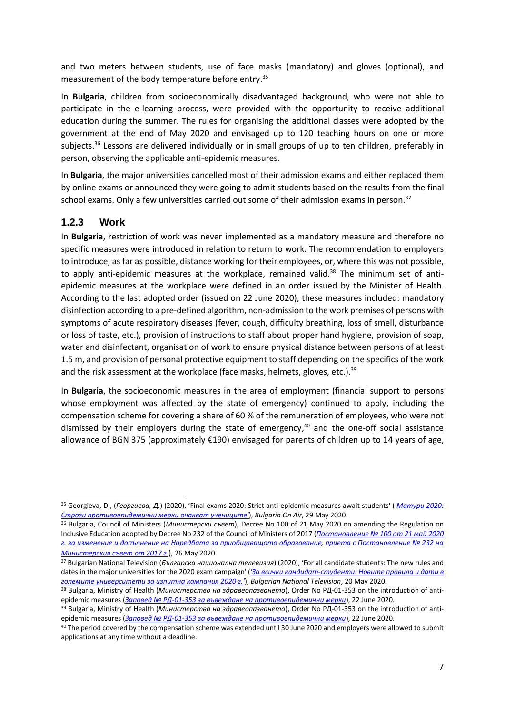and two meters between students, use of face masks (mandatory) and gloves (optional), and measurement of the body temperature before entry. 35

In **Bulgaria**, children from socioeconomically disadvantaged background, who were not able to participate in the e-learning process, were provided with the opportunity to receive additional education during the summer. The rules for organising the additional classes were adopted by the government at the end of May 2020 and envisaged up to 120 teaching hours on one or more subjects.<sup>36</sup> Lessons are delivered individually or in small groups of up to ten children, preferably in person, observing the applicable anti-epidemic measures.

In **Bulgaria**, the major universities cancelled most of their admission exams and either replaced them by online exams or announced they were going to admit students based on the results from the final school exams. Only a few universities carried out some of their admission exams in person. $37$ 

#### **1.2.3 Work**

**.** 

In **Bulgaria**, restriction of work was never implemented as a mandatory measure and therefore no specific measures were introduced in relation to return to work. The recommendation to employers to introduce, as far as possible, distance working for their employees, or, where this was not possible, to apply anti-epidemic measures at the workplace, remained valid.<sup>38</sup> The minimum set of antiepidemic measures at the workplace were defined in an order issued by the Minister of Health. According to the last adopted order (issued on 22 June 2020), these measures included: mandatory disinfection according to a pre-defined algorithm, non-admission to the work premises of persons with symptoms of acute respiratory diseases (fever, cough, difficulty breathing, loss of smell, disturbance or loss of taste, etc.), provision of instructions to staff about proper hand hygiene, provision of soap, water and disinfectant, organisation of work to ensure physical distance between persons of at least 1.5 m, and provision of personal protective equipment to staff depending on the specifics of the work and the risk assessment at the workplace (face masks, helmets, gloves, etc.).<sup>39</sup>

In **Bulgaria**, the socioeconomic measures in the area of employment (financial support to persons whose employment was affected by the state of emergency) continued to apply, including the compensation scheme for covering a share of 60 % of the remuneration of employees, who were not dismissed by their employers during the state of emergency, <sup>40</sup> and the one-off social assistance allowance of BGN 375 (approximately €190) envisaged for parents of children up to 14 years of age,

<sup>35</sup> Georgieva, D., (*Георгиева, Д.*) (2020), 'Final exams 2020: Strict anti-epidemic measures await students' (*['Матури 2020:](https://www.bgonair.bg/a/2-bulgaria/194725-uchilishtata-v-gotovnost-za-maturite-pri-strogi-protivoepidemichni-merki)  [Строги противоепидемични мерки очакват учениците'](https://www.bgonair.bg/a/2-bulgaria/194725-uchilishtata-v-gotovnost-za-maturite-pri-strogi-protivoepidemichni-merki)*), *Bulgaria On Air*, 29 May 2020.

<sup>36</sup> Bulgaria, Council of Ministers (*Министерски съвет*), Decree No 100 of 21 May 2020 on amending the Regulation on Inclusive Education adopted by Decree No 232 of the Council of Ministers of 2017 (*[Постановление № 100 от 21 май 2020](https://dv.parliament.bg/DVWeb/showMaterialDV.jsp?idMat=148370)  [г. за изменение и допълнение на Наредбата за приобщаващото образование, приета с Постановление № 232 на](https://dv.parliament.bg/DVWeb/showMaterialDV.jsp?idMat=148370)  [Министерския съвет от 2017 г.](https://dv.parliament.bg/DVWeb/showMaterialDV.jsp?idMat=148370)*), 26 May 2020.

<sup>37</sup> Bulgarian National Television (*Българска национална телевизия*) (2020), 'For all candidate students: The new rules and dates in the major universities for the 2020 exam campaign' (*'За всички кандидат-[студенти: Новите правила и дати в](https://bntnews.bg/news/za-vsichki-kandidat-studenti-novite-pravila-i-dati-v-golemite-universiteti-za-izpitna-kampaniya-2020-g-1055519news.html)  [големите университети за изпитна кампания 2020 г.'](https://bntnews.bg/news/za-vsichki-kandidat-studenti-novite-pravila-i-dati-v-golemite-universiteti-za-izpitna-kampaniya-2020-g-1055519news.html)*), *Bulgarian National Television*, 20 May 2020.

<sup>38</sup> Bulgaria, Ministry of Health (*Министерство на здравеопазването*), Order No РД-01-353 on the introduction of antiepidemic measures (*Заповед № РД-01-[353 за въвеждане на противоепидемични мерки](https://coronavirus.bg/bg/443)*), 22 June 2020.

<sup>39</sup> Bulgaria, Ministry of Health (*Министерство на здравеопазването*), Order No РД-01-353 on the introduction of antiepidemic measures (*Заповед № РД-01-[353 за въвеждане на противоепидемични мерки](https://coronavirus.bg/bg/443)*), 22 June 2020.

<sup>40</sup> The period covered by the compensation scheme was extended until 30 June 2020 and employers were allowed to submit applications at any time without a deadline.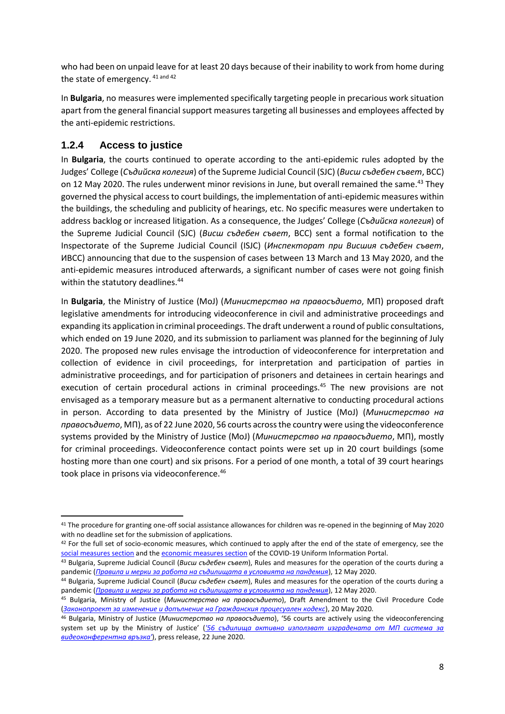who had been on unpaid leave for at least 20 days because of their inability to work from home during the state of emergency. 41 and 42

In **Bulgaria**, no measures were implemented specifically targeting people in precarious work situation apart from the general financial support measures targeting all businesses and employees affected by the anti-epidemic restrictions.

#### **1.2.4 Access to justice**

**.** 

In **Bulgaria**, the courts continued to operate according to the anti-epidemic rules adopted by the Judges' College (*Съдийска колегия*) of the Supreme Judicial Council (SJC) (*Висш съдебен съвет*, ВСС) on 12 May 2020. The rules underwent minor revisions in June, but overall remained the same.<sup>43</sup> They governed the physical access to court buildings, the implementation of anti-epidemic measures within the buildings, the scheduling and publicity of hearings, etc. No specific measures were undertaken to address backlog or increased litigation. As a consequence, the Judges' College (*Съдийска колегия*) of the Supreme Judicial Council (SJC) (*Висш съдебен съвет*, ВСС) sent a formal notification to the Inspectorate of the Supreme Judicial Council (ISJC) (*Инспекторат при Висшия съдебен съвет*, ИВСС) announcing that due to the suspension of cases between 13 March and 13 May 2020, and the anti-epidemic measures introduced afterwards, a significant number of cases were not going finish within the statutory deadlines.<sup>44</sup>

In **Bulgaria**, the Ministry of Justice (MoJ) (*Министерство на правосъдието*, МП) proposed draft legislative amendments for introducing videoconference in civil and administrative proceedings and expanding its application in criminal proceedings. The draft underwent a round of public consultations, which ended on 19 June 2020, and its submission to parliament was planned for the beginning of July 2020. The proposed new rules envisage the introduction of videoconference for interpretation and collection of evidence in civil proceedings, for interpretation and participation of parties in administrative proceedings, and for participation of prisoners and detainees in certain hearings and execution of certain procedural actions in criminal proceedings.<sup>45</sup> The new provisions are not envisaged as a temporary measure but as a permanent alternative to conducting procedural actions in person. According to data presented by the Ministry of Justice (MoJ) (*Министерство на правосъдието*, МП), as of 22 June 2020, 56 courts across the country were using the videoconference systems provided by the Ministry of Justice (MoJ) (*Министерство на правосъдието*, МП), mostly for criminal proceedings. Videoconference contact points were set up in 20 court buildings (some hosting more than one court) and six prisons. For a period of one month, a total of 39 court hearings took place in prisons via videoconference.<sup>46</sup>

<sup>&</sup>lt;sup>41</sup> The procedure for granting one-off social assistance allowances for children was re-opened in the beginning of May 2020 with no deadline set for the submission of applications.

<sup>&</sup>lt;sup>42</sup> For the full set of socio-economic measures, which continued to apply after the end of the state of emergency, see the [social measures section](https://coronavirus.bg/bg/merki/socialni) and th[e economic measures section](https://coronavirus.bg/bg/merki/ikonomicheski) of the COVID-19 Uniform Information Portal.

<sup>43</sup> Bulgaria, Supreme Judicial Council (*Висш съдебен съвет*), Rules and measures for the operation of the courts during a pandemic (*[Правила и мерки за работа на съдилищата в условията на пандемия](http://www.vss.justice.bg/page/view/105223)*), 12 May 2020.

<sup>44</sup> Bulgaria, Supreme Judicial Council (*Висш съдебен съвет*), Rules and measures for the operation of the courts during a pandemic (*[Правила и мерки за работа на съдилищата в условията на пандемия](http://www.vss.justice.bg/page/view/105223)*), 12 May 2020.

<sup>45</sup> Bulgaria, Ministry of Justice (*Министерство на правосъдието*), Draft Amendment to the Civil Procedure Code (*[Законопроект за изменение и допълнение на Гражданския процесуален кодекс](https://justice.government.bg/api/part/GetBlob?hash=892D956780FAF4DFF33467C271FA9643)*), 20 May 2020.

<sup>46</sup> Bulgaria, Ministry of Justice (*Министерство на правосъдието*), '56 courts are actively using the videoconferencing system set up by the Ministry of Justice' (*['56 съдилища активно използват изградената от МП система за](https://justice.government.bg/home/index/7764cbb6-5e3b-44f5-9065-21c76d6e32d7)  [видеоконферентна връзка'](https://justice.government.bg/home/index/7764cbb6-5e3b-44f5-9065-21c76d6e32d7)*), press release, 22 June 2020.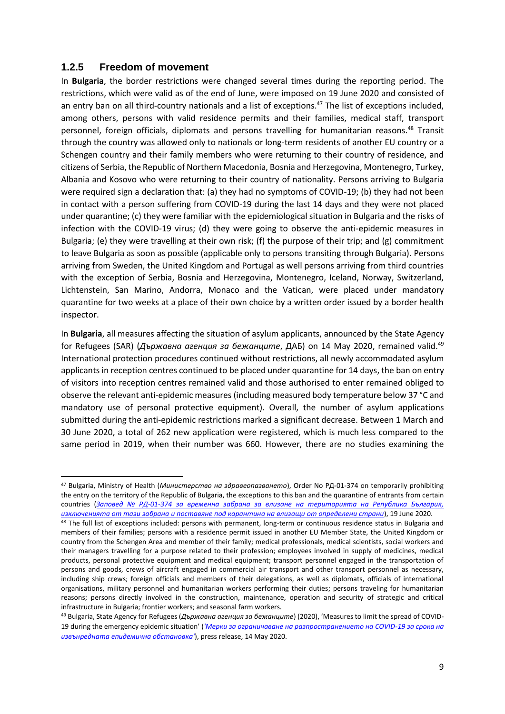#### **1.2.5 Freedom of movement**

**.** 

In **Bulgaria**, the border restrictions were changed several times during the reporting period. The restrictions, which were valid as of the end of June, were imposed on 19 June 2020 and consisted of an entry ban on all third-country nationals and a list of exceptions. <sup>47</sup> The list of exceptions included, among others, persons with valid residence permits and their families, medical staff, transport personnel, foreign officials, diplomats and persons travelling for humanitarian reasons.<sup>48</sup> Transit through the country was allowed only to nationals or long-term residents of another EU country or a Schengen country and their family members who were returning to their country of residence, and citizens of Serbia, the Republic of Northern Macedonia, Bosnia and Herzegovina, Montenegro, Turkey, Albania and Kosovo who were returning to their country of nationality. Persons arriving to Bulgaria were required sign a declaration that: (a) they had no symptoms of COVID-19; (b) they had not been in contact with a person suffering from COVID-19 during the last 14 days and they were not placed under quarantine; (c) they were familiar with the epidemiological situation in Bulgaria and the risks of infection with the COVID-19 virus; (d) they were going to observe the anti-epidemic measures in Bulgaria; (e) they were travelling at their own risk; (f) the purpose of their trip; and (g) commitment to leave Bulgaria as soon as possible (applicable only to persons transiting through Bulgaria). Persons arriving from Sweden, the United Kingdom and Portugal as well persons arriving from third countries with the exception of Serbia, Bosnia and Herzegovina, Montenegro, Iceland, Norway, Switzerland, Lichtenstein, San Marino, Andorra, Monaco and the Vatican, were placed under mandatory quarantine for two weeks at a place of their own choice by a written order issued by a border health inspector.

In **Bulgaria**, all measures affecting the situation of asylum applicants, announced by the State Agency for Refugees (SAR) (*Държавна агенция за бежанците*, ДАБ) on 14 May 2020, remained valid. 49 International protection procedures continued without restrictions, all newly accommodated asylum applicants in reception centres continued to be placed under quarantine for 14 days, the ban on entry of visitors into reception centres remained valid and those authorised to enter remained obliged to observe the relevant anti-epidemic measures (including measured body temperature below 37 °С and mandatory use of personal protective equipment). Overall, the number of asylum applications submitted during the anti-epidemic restrictions marked a significant decrease. Between 1 March and 30 June 2020, a total of 262 new application were registered, which is much less compared to the same period in 2019, when their number was 660. However, there are no studies examining the

<sup>47</sup> Bulgaria, Ministry of Health (*Министерство на здравеопазването*), Order No РД-01-374 on temporarily prohibiting the entry on the territory of the Republic of Bulgaria, the exceptions to this ban and the quarantine of entrants from certain countries (*Заповед № РД-01-[374 за временна забрана за влизане на територията на Република България,](https://coronavirus.bg/bg/442)  [изключенията от тази забрана и поставяне под карантина на влизащи](https://coronavirus.bg/bg/442) от определени страни*), 19 June 2020.

<sup>48</sup> The full list of exceptions included: persons with permanent, long-term or continuous residence status in Bulgaria and members of their families; persons with a residence permit issued in another EU Member State, the United Kingdom or country from the Schengen Area and member of their family; medical professionals, medical scientists, social workers and their managers travelling for a purpose related to their profession; employees involved in supply of medicines, medical products, personal protective equipment and medical equipment; transport personnel engaged in the transportation of persons and goods, crews of aircraft engaged in commercial air transport and other transport personnel as necessary, including ship crews; foreign officials and members of their delegations, as well as diplomats, officials of international organisations, military personnel and humanitarian workers performing their duties; persons traveling for humanitarian reasons; persons directly involved in the construction, maintenance, operation and security of strategic and critical infrastructure in Bulgaria; frontier workers; and seasonal farm workers.

<sup>49</sup> Bulgaria, State Agency for Refugees (*Държавна агенция за бежанците*) (2020), 'Measures to limit the spread of COVID-19 during the emergency epidemic situation' (*['Мерки за ограничаване на разпространението на COVID](http://www.aref.government.bg/bg/node/342)-19 за срока на [извънредната епидемична обстановка'](http://www.aref.government.bg/bg/node/342)*), press release, 14 May 2020.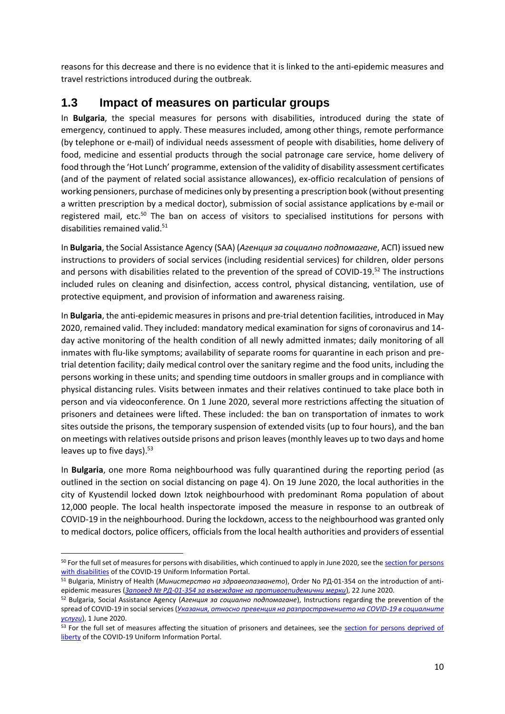reasons for this decrease and there is no evidence that it is linked to the anti-epidemic measures and travel restrictions introduced during the outbreak.

## **1.3 Impact of measures on particular groups**

In **Bulgaria**, the special measures for persons with disabilities, introduced during the state of emergency, continued to apply. These measures included, among other things, remote performance (by telephone or e-mail) of individual needs assessment of people with disabilities, home delivery of food, medicine and essential products through the social patronage care service, home delivery of food through the 'Hot Lunch' programme, extension of the validity of disability assessment certificates (and of the payment of related social assistance allowances), ex-officio recalculation of pensions of working pensioners, purchase of medicines only by presenting a prescription book (without presenting a written prescription by a medical doctor), submission of social assistance applications by e-mail or registered mail, etc.<sup>50</sup> The ban on access of visitors to specialised institutions for persons with disabilities remained valid.<sup>51</sup>

In **Bulgaria**, the Social Assistance Agency (SAA) (*Агенция за социално подпомагане*, АСП) issued new instructions to providers of social services (including residential services) for children, older persons and persons with disabilities related to the prevention of the spread of COVID-19.<sup>52</sup> The instructions included rules on cleaning and disinfection, access control, physical distancing, ventilation, use of protective equipment, and provision of information and awareness raising.

In **Bulgaria**, the anti-epidemic measures in prisons and pre-trial detention facilities, introduced in May 2020, remained valid. They included: mandatory medical examination for signs of coronavirus and 14 day active monitoring of the health condition of all newly admitted inmates; daily monitoring of all inmates with flu-like symptoms; availability of separate rooms for quarantine in each prison and pretrial detention facility; daily medical control over the sanitary regime and the food units, including the persons working in these units; and spending time outdoors in smaller groups and in compliance with physical distancing rules. Visits between inmates and their relatives continued to take place both in person and via videoconference. On 1 June 2020, several more restrictions affecting the situation of prisoners and detainees were lifted. These included: the ban on transportation of inmates to work sites outside the prisons, the temporary suspension of extended visits (up to four hours), and the ban on meetings with relatives outside prisons and prison leaves (monthly leaves up to two days and home leaves up to five days). $53$ 

In **Bulgaria**, one more Roma neighbourhood was fully quarantined during the reporting period (as outlined in the section on social distancing on page 4). On 19 June 2020, the local authorities in the city of Kyustendil locked down Iztok neighbourhood with predominant Roma population of about 12,000 people. The local health inspectorate imposed the measure in response to an outbreak of COVID-19 in the neighbourhood. During the lockdown, access to the neighbourhood was granted only to medical doctors, police officers, officials from the local health authorities and providers of essential

**.** 

<sup>50</sup> For the full set of measures for persons with disabilities, which continued to apply in June 2020, see the section for persons [with disabilities](https://coronavirus.bg/bg/az-sum/litse-uvrejdania) of the COVID-19 Uniform Information Portal.

<sup>51</sup> Bulgaria, Ministry of Health (*Министерство на здравеопазването*), Order No РД-01-354 on the introduction of antiepidemic measures (*Заповед № РД-01-[354 за въвеждане на противоепидемични мерки](https://coronavirus.bg/bg/444)*), 22 June 2020.

<sup>52</sup> Bulgaria, Social Assistance Agency (*Агенция за социално подпомагане*), Instructions regarding the prevention of the spread of COVID-19 in social services(*[Указания, относно превенция на разпространението на COVID](https://asp.government.bg/uploaded/files/5007-UKAZANIE08-00-660802062020.pdf)-19 в социалните [услуги](https://asp.government.bg/uploaded/files/5007-UKAZANIE08-00-660802062020.pdf)*), 1 June 2020.

<sup>53</sup> For the full set of measures affecting the situation of prisoners and detainees, see the section for persons deprived of [liberty](https://coronavirus.bg/bg/123) of the COVID-19 Uniform Information Portal.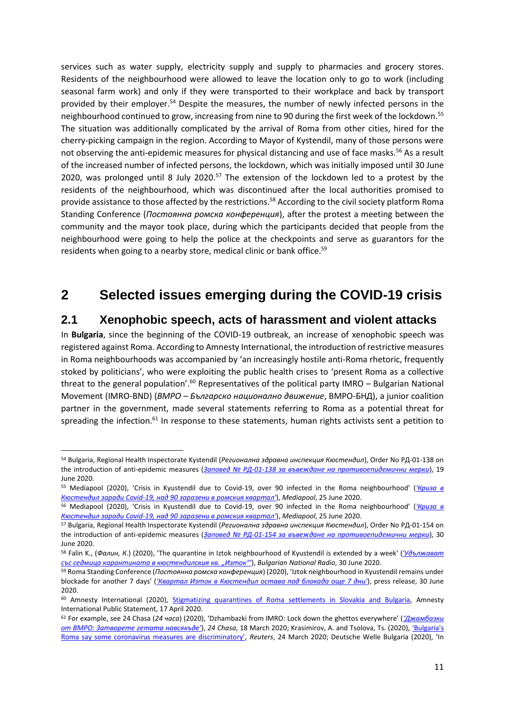services such as water supply, electricity supply and supply to pharmacies and grocery stores. Residents of the neighbourhood were allowed to leave the location only to go to work (including seasonal farm work) and only if they were transported to their workplace and back by transport provided by their employer.<sup>54</sup> Despite the measures, the number of newly infected persons in the neighbourhood continued to grow, increasing from nine to 90 during the first week of the lockdown.<sup>55</sup> The situation was additionally complicated by the arrival of Roma from other cities, hired for the cherry-picking campaign in the region. According to Mayor of Kystendil, many of those persons were not observing the anti-epidemic measures for physical distancing and use of face masks.<sup>56</sup> As a result of the increased number of infected persons, the lockdown, which was initially imposed until 30 June 2020, was prolonged until 8 July 2020.<sup>57</sup> The extension of the lockdown led to a protest by the residents of the neighbourhood, which was discontinued after the local authorities promised to provide assistance to those affected by the restrictions. <sup>58</sup> According to the civil society platform Roma Standing Conference (*Постоянна ромска конференция*), after the protest a meeting between the community and the mayor took place, during which the participants decided that people from the neighbourhood were going to help the police at the checkpoints and serve as guarantors for the residents when going to a nearby store, medical clinic or bank office.<sup>59</sup>

# **2 Selected issues emerging during the COVID-19 crisis**

### **2.1 Xenophobic speech, acts of harassment and violent attacks**

In **Bulgaria**, since the beginning of the COVID-19 outbreak, an increase of xenophobic speech was registered against Roma. According to Amnesty International, the introduction of restrictive measures in Roma neighbourhoods was accompanied by 'an increasingly hostile anti-Roma rhetoric, frequently stoked by politicians', who were exploiting the public health crises to 'present Roma as a collective threat to the general population'.<sup>60</sup> Representatives of the political party IMRO – Bulgarian National Movement (IMRO-BND) (*ВМРО – Българско национално движение*, ВМРО-БНД), a junior coalition partner in the government, made several statements referring to Roma as a potential threat for spreading the infection.<sup>61</sup> In response to these statements, human rights activists sent a petition to

**<sup>.</sup>** <sup>54</sup> Bulgaria, Regional Health Inspectorate Kystendil (*Регионална здравна инспекция Кюстендил*), Order No РД-01-138 on the introduction of anti-epidemic measures (*Заповед № РД-01-[138 за въвеждане на противоепидемични мерки](https://rzi-kn.net/bg/2020/06/19/заповед-рд-01-138-19-06-2020г/)*), 19 June 2020.

<sup>55</sup> Mediapool (2020), 'Crisis in Kyustendil due to Covid-19, over 90 infected in the Roma neighbourhood' (*['Криза в](https://www.mediapool.bg/kriza-v-kyustendil-zaradi-covid-19-nad-90-zarazeni-v-romskiya-kvartal-news309081.html)  Кюстендил заради Covid-[19, над 90 заразени в ромския квартал'](https://www.mediapool.bg/kriza-v-kyustendil-zaradi-covid-19-nad-90-zarazeni-v-romskiya-kvartal-news309081.html)*), *Mediapool*, 25 June 2020.

<sup>56</sup> Mediapool (2020), 'Crisis in Kyustendil due to Covid-19, over 90 infected in the Roma neighbourhood' (*['Криза в](https://www.mediapool.bg/kriza-v-kyustendil-zaradi-covid-19-nad-90-zarazeni-v-romskiya-kvartal-news309081.html)  Кюстендил заради Covid-[19, над 90 заразени в ромския квартал'](https://www.mediapool.bg/kriza-v-kyustendil-zaradi-covid-19-nad-90-zarazeni-v-romskiya-kvartal-news309081.html)*), *Mediapool*, 25 June 2020.

<sup>57</sup> Bulgaria, Regional Health Inspectorate Kystendil (*Регионална здравна инспекция Кюстендил*), Order No РД-01-154 on the introduction of anti-epidemic measures (*Заповед № РД-01-[154 за въвеждане на противоепидемични мерки](https://rzi-kn.net/bg/2020/06/30/заповед-рд-01-154-30-06-2020г/)*), 30 June 2020.

<sup>58</sup> Falin K., (*Фалин, К.*) (2020), 'The quarantine in Iztok neighbourhood of Kyustendil is extended by a week' (*['Удължават](https://bnr.bg/horizont/post/101302251/udaljavat-sas-sedmica-karantinata-v-kustendilskia-romski-kvartal-iztok)  [със седмица карантината в кюстендилския кв. "Изток"'](https://bnr.bg/horizont/post/101302251/udaljavat-sas-sedmica-karantinata-v-kustendilskia-romski-kvartal-iztok)*), *Bulgarian National Radio*, 30 June 2020.

<sup>59</sup> Roma Standing Conference (*Постоянна ромска конференция*) (2020), 'Iztok neighbourhood in Kyustendil remains under blockade for another 7 days' (*['Квартал Изток в Кюстендил остава под блокада още 7 дни'](https://www.facebook.com/romastandingconference.org/photos/a.2173727549563523/2724471974489075/?type=3&theater)*), press release, 30 June 2020.

<sup>60</sup> Amnesty International (2020), [Stigmatizing quarantines of Roma settlements in Slovakia and Bulgaria,](https://www.amnesty.org/download/Documents/EUR0121562020ENGLISH.PDF) Amnesty International Public Statement, 17 April 2020.

<sup>61</sup> For example, see 24 Chasa (*24 часа*) (2020), 'Dzhambazki from IMRO: Lock down the ghettos everywhere' (*['Джамбазки](https://www.24chasa.bg/novini/article/8320602)  [от ВМРО: Затворете гетата навсякъде'](https://www.24chasa.bg/novini/article/8320602)*), *24 Chasa*, 18 March 2020; Krasimirov, A. and Tsolova, Ts. (2020), ['Bulgaria's](https://www.reuters.com/article/us-health-coronavirus-bulgaria-roma/bulgarias-roma-say-some-coronavirus-measures-are-discriminatory-idUSKBN21B355)  [Roma say some coronavirus measures are discriminatory'](https://www.reuters.com/article/us-health-coronavirus-bulgaria-roma/bulgarias-roma-say-some-coronavirus-measures-are-discriminatory-idUSKBN21B355), *Reuters*, 24 March 2020; Deutsche Welle Bulgaria (2020), 'In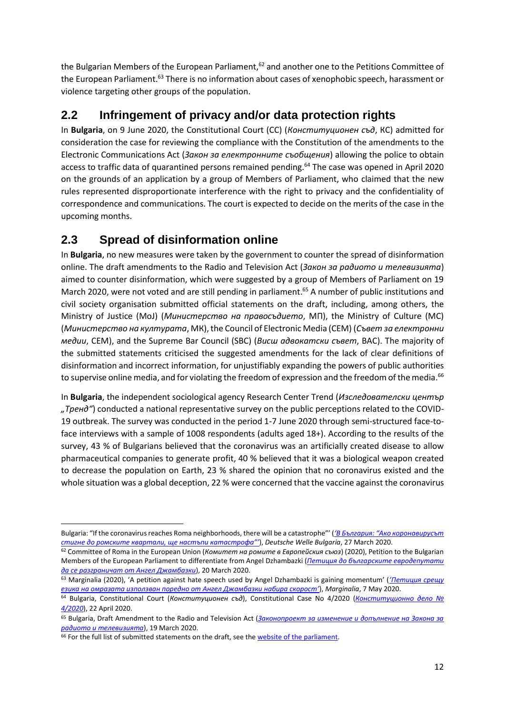the Bulgarian Members of the European Parliament,<sup>62</sup> and another one to the Petitions Committee of the European Parliament.<sup>63</sup> There is no information about cases of xenophobic speech, harassment or violence targeting other groups of the population.

## **2.2 Infringement of privacy and/or data protection rights**

In **Bulgaria**, on 9 June 2020, the Constitutional Court (CC) (*Конституционен съд*, КС) admitted for consideration the case for reviewing the compliance with the Constitution of the amendments to the Electronic Communications Act (*Закон за електронните съобщения*) allowing the police to obtain access to traffic data of quarantined persons remained pending. <sup>64</sup> The case was opened in April 2020 on the grounds of an application by a group of Members of Parliament, who claimed that the new rules represented disproportionate interference with the right to privacy and the confidentiality of correspondence and communications. The court is expected to decide on the merits of the case in the upcoming months.

## **2.3 Spread of disinformation online**

In **Bulgaria**, no new measures were taken by the government to counter the spread of disinformation online. The draft amendments to the Radio and Television Act (*Закон за радиото и телевизията*) aimed to counter disinformation, which were suggested by a group of Members of Parliament on 19 March 2020, were not voted and are still pending in parliament.<sup>65</sup> A number of public institutions and civil society organisation submitted official statements on the draft, including, among others, the Ministry of Justice (MoJ) (*Министерство на правосъдието*, МП), the Ministry of Culture (MC) (*Министерство на културата*, МК), the Council of Electronic Media (CEM) (*Съвет за електронни медии*, СЕМ), and the Supreme Bar Council (SBC) (*Висш адвокатски съвет*, ВАС). The majority of the submitted statements criticised the suggested amendments for the lack of clear definitions of disinformation and incorrect information, for unjustifiably expanding the powers of public authorities to supervise online media, and for violating the freedom of expression and the freedom of the media. $^{66}$ 

In **Bulgaria**, the independent sociological agency Research Center Trend (*Изследователски център "Тренд"*) conducted a national representative survey on the public perceptions related to the COVID-19 outbreak. The survey was conducted in the period 1-7 June 2020 through semi-structured face-toface interviews with a sample of 1008 respondents (adults aged 18+). According to the results of the survey, 43 % of Bulgarians believed that the coronavirus was an artificially created disease to allow pharmaceutical companies to generate profit, 40 % believed that it was a biological weapon created to decrease the population on Earth, 23 % shared the opinion that no coronavirus existed and the whole situation was a global deception, 22 % were concerned that the vaccine against the coronavirus

 $\overline{a}$ 

Bulgaria: "If the coronavirus reaches Roma neighborhoods, there will be a catastrophe"' (*['В България: "Ако коронавирусът](https://www.dw.com/bg/в-българия-ако-коронавирусът-стигне-до-ромските-квартали-ще-настъпи-катастрофа/a-52940341)  [стигне до ромските квартали, ще настъпи катастрофа"'](https://www.dw.com/bg/в-българия-ако-коронавирусът-стигне-до-ромските-квартали-ще-настъпи-катастрофа/a-52940341)*), *Deutsche Welle Bulgaria*, 27 March 2020.

<sup>62</sup> Committee of Roma in the European Union (*Комитет на ромите в Европейския съюз*) (2020), Petition to the Bulgarian Members of the European Parliament to differentiate from Angel Dzhambazki (*[Петиция до българските евродепутати](https://www.peticiq.com/255989?fbclid=IwAR0dRdEXSzcP9znqw602nob9bZy1s6ltzqilQmsHBBoPW5NxX5gYCw4w2Og)  [да се разграничат от Ангел Джамбазки](https://www.peticiq.com/255989?fbclid=IwAR0dRdEXSzcP9znqw602nob9bZy1s6ltzqilQmsHBBoPW5NxX5gYCw4w2Og)*), 20 March 2020.

<sup>63</sup> Marginalia (2020), 'A petition against hate speech used by Angel Dzhambazki is gaining momentum' (*['Петиция срещу](https://www.marginalia.bg/novini/petitsiya-sreshtu-ezika-na-omrazata-izpolzvan-poredno-ot-angel-dzhambazki-nabira-skorost/)  [езика на омразата използван поредно от Ангел Джамбазки набира скорост'](https://www.marginalia.bg/novini/petitsiya-sreshtu-ezika-na-omrazata-izpolzvan-poredno-ot-angel-dzhambazki-nabira-skorost/)*), *Marginalia*, 7 May 2020.

<sup>64</sup> Bulgaria, Constitutional Court (*Конституционен съд*), Constitutional Case No 4/2020 (*[Конституционно](http://www.constcourt.bg/bg/Cases/Details/574) дело № [4/2020](http://www.constcourt.bg/bg/Cases/Details/574)*), 22 April 2020.

<sup>65</sup> Bulgaria, Draft Amendment to the Radio and Television Act (*[Законопроект за изменение и допълнение на Закона за](https://www.parliament.bg/bills/44/054-01-25.pdf)  [радиото и телевизията](https://www.parliament.bg/bills/44/054-01-25.pdf)*), 19 March 2020.

<sup>&</sup>lt;sup>66</sup> For the full list of submitted statements on the draft, see the [website of the parliament.](https://www.parliament.bg/bg/bills/ID/157382/)